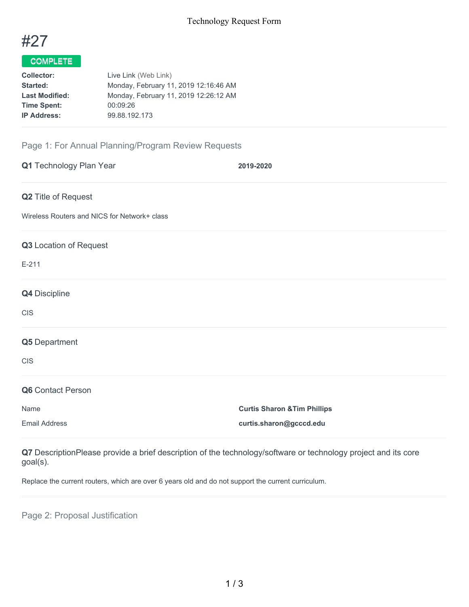

# COMPLETE

| Live Link (Web Link)                  |
|---------------------------------------|
| Monday, February 11, 2019 12:16:46 AM |
| Monday, February 11, 2019 12:26:12 AM |
| 00:09:26                              |
| 99.88.192.173                         |
|                                       |

## Page 1: For Annual Planning/Program Review Requests

| Q1 Technology Plan Year                      | 2019-2020                               |
|----------------------------------------------|-----------------------------------------|
| Q2 Title of Request                          |                                         |
| Wireless Routers and NICS for Network+ class |                                         |
| Q3 Location of Request                       |                                         |
| $E-211$                                      |                                         |
| Q4 Discipline                                |                                         |
| <b>CIS</b>                                   |                                         |
| Q5 Department                                |                                         |
| <b>CIS</b>                                   |                                         |
| Q6 Contact Person                            |                                         |
| Name                                         | <b>Curtis Sharon &amp; Tim Phillips</b> |
| <b>Email Address</b>                         | curtis.sharon@gcccd.edu                 |

**Q7** DescriptionPlease provide a brief description of the technology/software or technology project and its core goal(s).

Replace the current routers, which are over 6 years old and do not support the current curriculum.

Page 2: Proposal Justification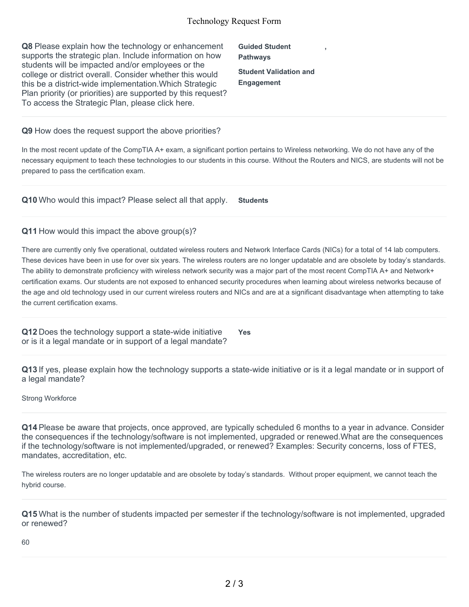#### Technology Request Form

**Q8** Please explain how the technology or enhancement supports the strategic plan. Include information on how students will be impacted and/or employees or the college or district overall. Consider whether this would this be a district-wide implementation.Which Strategic Plan priority (or priorities) are supported by this request? To access the Strategic Plan, please click here.

**Guided Student Pathways Student Validation and Engagement**

**,**

**Q9** How does the request support the above priorities?

In the most recent update of the CompTIA A+ exam, a significant portion pertains to Wireless networking. We do not have any of the necessary equipment to teach these technologies to our students in this course. Without the Routers and NICS, are students will not be prepared to pass the certification exam.

**Q10** Who would this impact? Please select all that apply. **Students**

#### **Q11** How would this impact the above group(s)?

There are currently only five operational, outdated wireless routers and Network Interface Cards (NICs) for a total of 14 lab computers. These devices have been in use for over six years. The wireless routers are no longer updatable and are obsolete by today's standards. The ability to demonstrate proficiency with wireless network security was a major part of the most recent CompTIA A+ and Network+ certification exams. Our students are not exposed to enhanced security procedures when learning about wireless networks because of the age and old technology used in our current wireless routers and NICs and are at a significant disadvantage when attempting to take the current certification exams.

**Q12** Does the technology support a state-wide initiative or is it a legal mandate or in support of a legal mandate?

**Yes**

**Q13** If yes, please explain how the technology supports a state-wide initiative or is it a legal mandate or in support of a legal mandate?

Strong Workforce

**Q14** Please be aware that projects, once approved, are typically scheduled 6 months to a year in advance. Consider the consequences if the technology/software is not implemented, upgraded or renewed.What are the consequences if the technology/software is not implemented/upgraded, or renewed? Examples: Security concerns, loss of FTES, mandates, accreditation, etc.

The wireless routers are no longer updatable and are obsolete by today's standards. Without proper equipment, we cannot teach the hybrid course.

**Q15** What is the number of students impacted per semester if the technology/software is not implemented, upgraded or renewed?

60